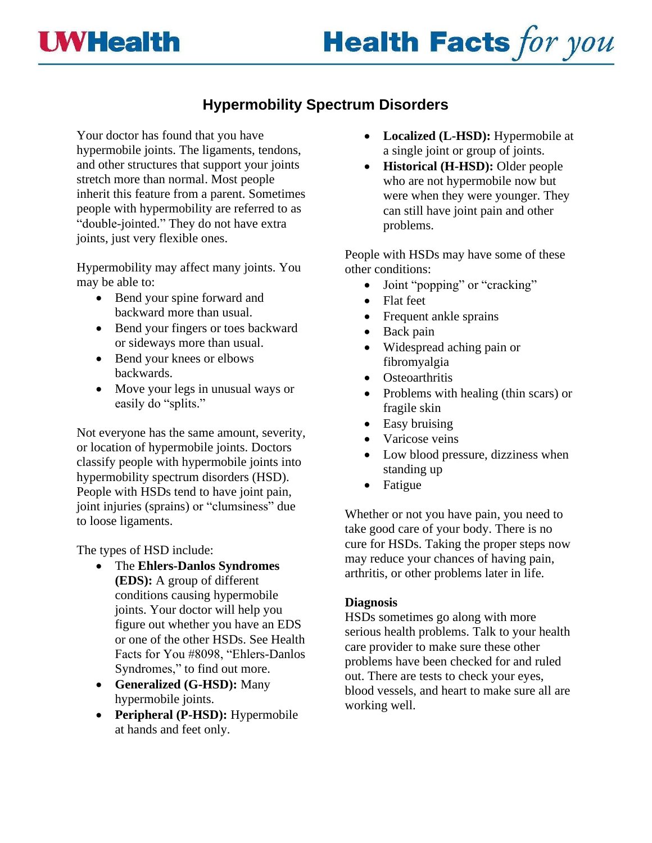## **UWHealth**

# **Health Facts for you**

### **Hypermobility Spectrum Disorders**

Your doctor has found that you have hypermobile joints. The ligaments, tendons, and other structures that support your joints stretch more than normal. Most people inherit this feature from a parent. Sometimes people with hypermobility are referred to as "double-jointed." They do not have extra joints, just very flexible ones.

Hypermobility may affect many joints. You may be able to:

- Bend your spine forward and backward more than usual.
- Bend your fingers or toes backward or sideways more than usual.
- Bend your knees or elbows backwards.
- Move your legs in unusual ways or easily do "splits."

Not everyone has the same amount, severity, or location of hypermobile joints. Doctors classify people with hypermobile joints into hypermobility spectrum disorders (HSD). People with HSDs tend to have joint pain, joint injuries (sprains) or "clumsiness" due to loose ligaments.

The types of HSD include:

- The **Ehlers-Danlos Syndromes (EDS):** A group of different conditions causing hypermobile joints. Your doctor will help you figure out whether you have an EDS or one of the other HSDs. See Health Facts for You #8098, "Ehlers-Danlos Syndromes," to find out more.
- **Generalized (G-HSD):** Many hypermobile joints.
- **Peripheral (P-HSD):** Hypermobile at hands and feet only.
- **Localized (L-HSD):** Hypermobile at a single joint or group of joints.
- **Historical (H-HSD):** Older people who are not hypermobile now but were when they were younger. They can still have joint pain and other problems.

People with HSDs may have some of these other conditions:

- Joint "popping" or "cracking"
- Flat feet
- Frequent ankle sprains
- Back pain
- Widespread aching pain or fibromyalgia
- Osteoarthritis
- Problems with healing (thin scars) or fragile skin
- Easy bruising
- Varicose veins
- Low blood pressure, dizziness when standing up
- Fatigue

Whether or not you have pain, you need to take good care of your body. There is no cure for HSDs. Taking the proper steps now may reduce your chances of having pain, arthritis, or other problems later in life.

#### **Diagnosis**

HSDs sometimes go along with more serious health problems. Talk to your health care provider to make sure these other problems have been checked for and ruled out. There are tests to check your eyes, blood vessels, and heart to make sure all are working well.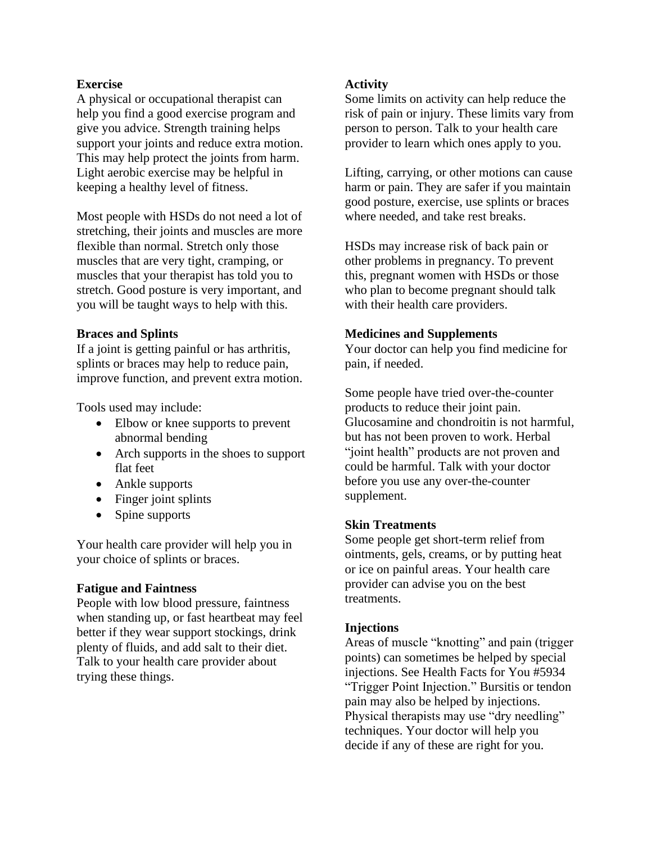#### **Exercise**

A physical or occupational therapist can help you find a good exercise program and give you advice. Strength training helps support your joints and reduce extra motion. This may help protect the joints from harm. Light aerobic exercise may be helpful in keeping a healthy level of fitness.

Most people with HSDs do not need a lot of stretching, their joints and muscles are more flexible than normal. Stretch only those muscles that are very tight, cramping, or muscles that your therapist has told you to stretch. Good posture is very important, and you will be taught ways to help with this.

#### **Braces and Splints**

If a joint is getting painful or has arthritis, splints or braces may help to reduce pain, improve function, and prevent extra motion.

Tools used may include:

- Elbow or knee supports to prevent abnormal bending
- Arch supports in the shoes to support flat feet
- Ankle supports
- Finger joint splints
- Spine supports

Your health care provider will help you in your choice of splints or braces.

#### **Fatigue and Faintness**

People with low blood pressure, faintness when standing up, or fast heartbeat may feel better if they wear support stockings, drink plenty of fluids, and add salt to their diet. Talk to your health care provider about trying these things.

#### **Activity**

Some limits on activity can help reduce the risk of pain or injury. These limits vary from person to person. Talk to your health care provider to learn which ones apply to you.

Lifting, carrying, or other motions can cause harm or pain. They are safer if you maintain good posture, exercise, use splints or braces where needed, and take rest breaks.

HSDs may increase risk of back pain or other problems in pregnancy. To prevent this, pregnant women with HSDs or those who plan to become pregnant should talk with their health care providers.

#### **Medicines and Supplements**

Your doctor can help you find medicine for pain, if needed.

Some people have tried over-the-counter products to reduce their joint pain. Glucosamine and chondroitin is not harmful, but has not been proven to work. Herbal "joint health" products are not proven and could be harmful. Talk with your doctor before you use any over-the-counter supplement.

#### **Skin Treatments**

Some people get short-term relief from ointments, gels, creams, or by putting heat or ice on painful areas. Your health care provider can advise you on the best treatments.

#### **Injections**

Areas of muscle "knotting" and pain (trigger points) can sometimes be helped by special injections. See Health Facts for You #5934 "Trigger Point Injection." Bursitis or tendon pain may also be helped by injections. Physical therapists may use "dry needling" techniques. Your doctor will help you decide if any of these are right for you.